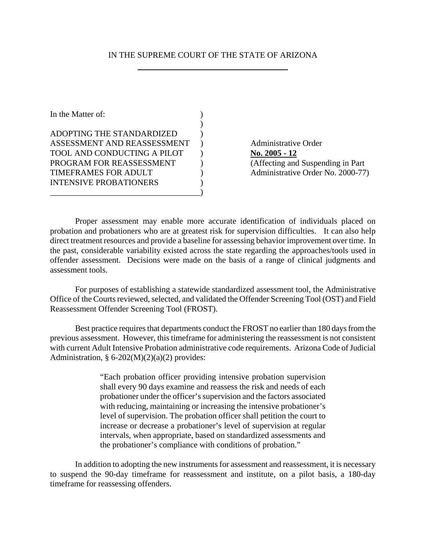## IN THE SUPREME COURT OF THE STATE OF ARIZONA

| In the Matter of:                  |  |
|------------------------------------|--|
|                                    |  |
| ADOPTING THE STANDARDIZED          |  |
| ASSESSMENT AND REASSESSMENT        |  |
| <b>TOOL AND CONDUCTING A PILOT</b> |  |
| PROGRAM FOR REASSESSMENT           |  |
| <b>TIMEFRAMES FOR ADULT</b>        |  |
| <b>INTENSIVE PROBATIONERS</b>      |  |
|                                    |  |

Administrative Order No. 2005 - 12 (Affecting and Suspending in Part Administrative Order No. 2000-77)

Proper assessment may enable more accurate identification of individuals placed on probation and probationers who are at greatest risk for supervision difficulties. It can also help direct treatment resources and provide a baseline for assessing behavior improvement over time. In the past, considerable variability existed across the state regarding the approaches/tools used in offender assessment. Decisions were made on the basis of a range of clinical judgments and assessment tools.

For purposes of establishing a statewide standardized assessment tool, the Administrative Office of the Courts reviewed, selected, and validated the Offender Screening Tool (OST) and Field Reassessment Offender Screening Tool (FROST).

Best practice requires that departments conduct the FROST no earlier than 180 days from the previous assessment. However, this timeframe for administering the reassessment is not consistent with current Adult Intensive Probation administrative code requirements. Arizona Code of Judicial Administration,  $§ 6-202(M)(2)(a)(2)$  provides:

> "Each probation officer providing intensive probation supervision shall every 90 days examine and reassess the risk and needs of each probationer under the officer's supervision and the factors associated with reducing, maintaining or increasing the intensive probationer's level of supervision. The probation officer shall petition the court to increase or decrease a probationer's level of supervision at regular intervals, when appropriate, based on standardized assessments and the probationer's compliance with conditions of probation."

In addition to adopting the new instruments for assessment and reassessment, it is necessary to suspend the 90-day timeframe for reassessment and institute, on a pilot basis, a 180-day timeframe for reassessing offenders.